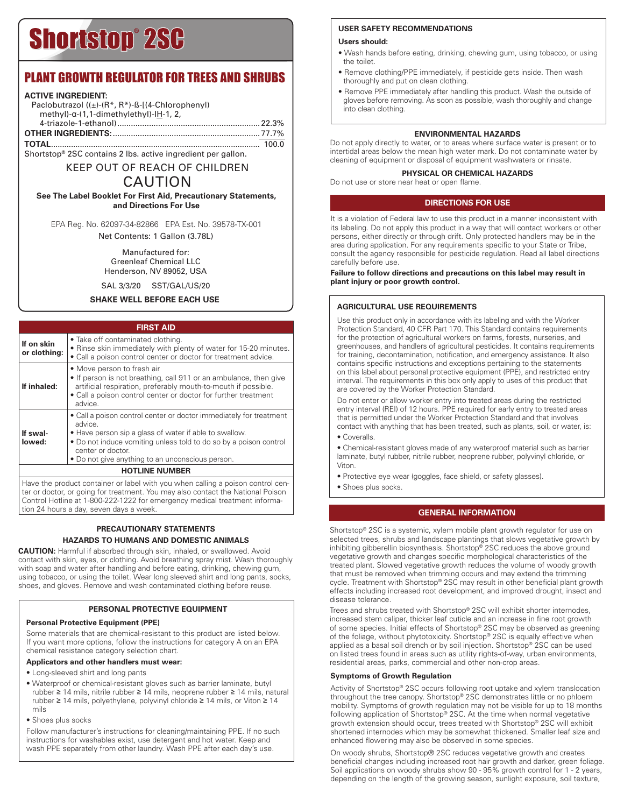# **Shortstop® 2SC**

## PLANT GROWTH REGULATOR FOR TREES AND SHRUBS

#### **ACTIVE INGREDIENT:**

| Paclobutrazol $((\pm)$ - $(R^*, R^*)$ -ß-[ $(4$ -Chlorophenyl)<br>$methyl$ - $\alpha$ -(1,1-dimethylethyl)-IH-1, 2, |  |
|---------------------------------------------------------------------------------------------------------------------|--|
|                                                                                                                     |  |
|                                                                                                                     |  |
|                                                                                                                     |  |

Shortstop® 2SC contains 2 lbs. active ingredient per gallon.

# KEEP OUT OF REACH OF CHILDREN

## CAUTION

**See The Label Booklet For First Aid, Precautionary Statements, and Directions For Use**

EPA Reg. No. 62097-34-82866 EPA Est. No. 39578-TX-001 Net Contents: 1 Gallon (3.78L)

> Manufactured for: Greenleaf Chemical LLC Henderson, NV 89052, USA

SAL 3/3/20 SST/GAL/US/20

#### **SHAKE WELL BEFORE EACH USE**

#### **FIRST AID**

|                            | .                                                                                                                                                                                                                                                                                     |  |  |  |
|----------------------------|---------------------------------------------------------------------------------------------------------------------------------------------------------------------------------------------------------------------------------------------------------------------------------------|--|--|--|
| If on skin<br>or clothing: | • Take off contaminated clothing.<br>• Rinse skin immediately with plenty of water for 15-20 minutes.<br>· Call a poison control center or doctor for treatment advice.                                                                                                               |  |  |  |
| If inhaled:                | • Move person to fresh air<br>. If person is not breathing, call 911 or an ambulance, then give<br>artificial respiration, preferably mouth-to-mouth if possible.<br>• Call a poison control center or doctor for further treatment<br>advice.                                        |  |  |  |
| If swal-<br>lowed:         | • Call a poison control center or doctor immediately for treatment<br>advice.<br>• Have person sip a glass of water if able to swallow.<br>• Do not induce vomiting unless told to do so by a poison control<br>center or doctor.<br>• Do not give anything to an unconscious person. |  |  |  |
| <b>HOTLINE NUMBER</b>      |                                                                                                                                                                                                                                                                                       |  |  |  |

Have the product container or label with you when calling a poison control center or doctor, or going for treatment. You may also contact the National Poison Control Hotline at 1-800-222-1222 for emergency medical treatment information 24 hours a day, seven days a week.

#### **PRECAUTIONARY STATEMENTS HAZARDS TO HUMANS AND DOMESTIC ANIMALS**

**CAUTION:** Harmful if absorbed through skin, inhaled, or swallowed. Avoid contact with skin, eyes, or clothing. Avoid breathing spray mist. Wash thoroughly with soap and water after handling and before eating, drinking, chewing gum, using tobacco, or using the toilet. Wear long sleeved shirt and long pants, socks, shoes, and gloves. Remove and wash contaminated clothing before reuse.

#### **PERSONAL PROTECTIVE EQUIPMENT**

#### **Personal Protective Equipment (PPE)**

Some materials that are chemical-resistant to this product are listed below. If you want more options, follow the instructions for category A on an EPA chemical resistance category selection chart.

#### **Applicators and other handlers must wear:**

- Long-sleeved shirt and long pants
- Waterproof or chemical-resistant gloves such as barrier laminate, butyl rubber ≥ 14 mils, nitrile rubber ≥ 14 mils, neoprene rubber ≥ 14 mils, natural rubber ≥ 14 mils, polyethylene, polyvinyl chloride ≥ 14 mils, or Viton ≥ 14 mils
- Shoes plus socks

Follow manufacturer's instructions for cleaning/maintaining PPE. If no such instructions for washables exist, use detergent and hot water. Keep and wash PPE separately from other laundry. Wash PPE after each day's use.

#### **USER SAFETY RECOMMENDATIONS**

#### **Users should:**

- Wash hands before eating, drinking, chewing gum, using tobacco, or using the toilet.
- Remove clothing/PPE immediately, if pesticide gets inside. Then wash thoroughly and put on clean clothing.
- Remove PPE immediately after handling this product. Wash the outside of gloves before removing. As soon as possible, wash thoroughly and change into clean clothing.

#### **ENVIRONMENTAL HAZARDS**

Do not apply directly to water, or to areas where surface water is present or to intertidal areas below the mean high water mark. Do not contaminate water by cleaning of equipment or disposal of equipment washwaters or rinsate.

#### **PHYSICAL OR CHEMICAL HAZARDS**

Do not use or store near heat or open flame.

#### **DIRECTIONS FOR USE**

It is a violation of Federal law to use this product in a manner inconsistent with its labeling. Do not apply this product in a way that will contact workers or other persons, either directly or through drift. Only protected handlers may be in the area during application. For any requirements specific to your State or Tribe, consult the agency responsible for pesticide regulation. Read all label directions carefully before use.

**Failure to follow directions and precautions on this label may result in plant injury or poor growth control.**

#### **AGRICULTURAL USE REQUIREMENTS**

Use this product only in accordance with its labeling and with the Worker Protection Standard, 40 CFR Part 170. This Standard contains requirements for the protection of agricultural workers on farms, forests, nurseries, and greenhouses, and handlers of agricultural pesticides. It contains requirements for training, decontamination, notification, and emergency assistance. It also contains specific instructions and exceptions pertaining to the statements on this label about personal protective equipment (PPE), and restricted entry interval. The requirements in this box only apply to uses of this product that are covered by the Worker Protection Standard.

Do not enter or allow worker entry into treated areas during the restricted entry interval (REI) of 12 hours. PPE required for early entry to treated areas that is permitted under the Worker Protection Standard and that involves contact with anything that has been treated, such as plants, soil, or water, is: • Coveralls.

• Chemical-resistant gloves made of any waterproof material such as barrier laminate, butyl rubber, nitrile rubber, neoprene rubber, polyvinyl chloride, or Viton.

• Protective eye wear (goggles, face shield, or safety glasses).

• Shoes plus socks.

#### **GENERAL INFORMATION**

Shortstop® 2SC is a systemic, xylem mobile plant growth regulator for use on selected trees, shrubs and landscape plantings that slows vegetative growth by inhibiting gibberellin biosynthesis. Shortstop® 2SC reduces the above ground vegetative growth and changes specific morphological characteristics of the treated plant. Slowed vegetative growth reduces the volume of woody growth that must be removed when trimming occurs and may extend the trimming cycle. Treatment with Shortstop® 2SC may result in other beneficial plant growth effects including increased root development, and improved drought, insect and disease tolerance.

Trees and shrubs treated with Shortstop® 2SC will exhibit shorter internodes, increased stem caliper, thicker leaf cuticle and an increase in fine root growth of some species. Initial effects of Shortstop® 2SC may be observed as greening of the foliage, without phytotoxicity. Shortstop® 2SC is equally effective when applied as a basal soil drench or by soil injection. Shortstop® 2SC can be used on listed trees found in areas such as utility rights-of-way, urban environments, residential areas, parks, commercial and other non-crop areas.

#### **Symptoms of Growth Regulation**

Activity of Shortstop® 2SC occurs following root uptake and xylem translocation throughout the tree canopy. Shortstop® 2SC demonstrates little or no phloem mobility. Symptoms of growth regulation may not be visible for up to 18 months following application of Shortstop® 2SC. At the time when normal vegetative growth extension should occur, trees treated with Shortstop® 2SC will exhibit shortened internodes which may be somewhat thickened. Smaller leaf size and enhanced flowering may also be observed in some species.

On woody shrubs, Shortstop® 2SC reduces vegetative growth and creates beneficial changes including increased root hair growth and darker, green foliage. Soil applications on woody shrubs show 90 - 95% growth control for 1 - 2 years, depending on the length of the growing season, sunlight exposure, soil texture,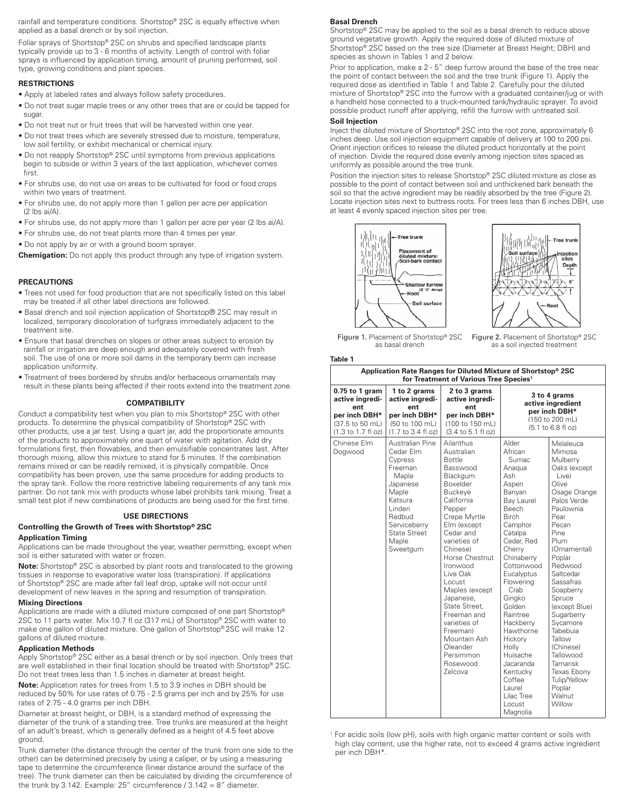rainfall and temperature conditions. Shortstop® 2SC is equally effective when applied as a basal drench or by soil injection.

Foliar sprays of Shortstop® 2SC on shrubs and specified landscape plants typically provide up to 3 - 6 months of activity. Length of control with foliar sprays is influenced by application timing, amount of pruning performed, soil type, growing conditions and plant species.

#### **RESTRICTIONS**

- Apply at labeled rates and always follow safety procedures.
- Do not treat sugar maple trees or any other trees that are or could be tapped for sugar.
- Do not treat nut or fruit trees that will be harvested within one year.
- Do not treat trees which are severely stressed due to moisture, temperature, low soil fertility, or exhibit mechanical or chemical injury.
- Do not reapply Shortstop® 2SC until symptoms from previous applications begin to subside or within 3 years of the last application, whichever comes first.
- For shrubs use, do not use on areas to be cultivated for food or food crops within two years of treatment.
- For shrubs use, do not apply more than 1 gallon per acre per application (2 lbs ai/A).
- For shrubs use, do not apply more than 1 gallon per acre per year (2 lbs ai/A).
- For shrubs use, do not treat plants more than 4 times per year.
- Do not apply by air or with a ground boom sprayer.

**Chemigation:** Do not apply this product through any type of irrigation system.

#### **PRECAUTIONS**

- Trees not used for food production that are not specifically listed on this label may be treated if all other label directions are followed.
- Basal drench and soil injection application of Shortstop® 2SC may result in localized, temporary discoloration of turfgrass immediately adjacent to the treatment site.
- Ensure that basal drenches on slopes or other areas subject to erosion by rainfall or irrigation are deep enough and adequately covered with fresh soil. The use of one or more soil dams in the temporary berm can increase application uniformity.
- Treatment of trees bordered by shrubs and/or herbaceous ornamentals may result in these plants being affected if their roots extend into the treatment zone.

#### **COMPATIBILITY**

Conduct a compatibility test when you plan to mix Shortstop® 2SC with other products. To determine the physical compatibility of Shortstop® 2SC with other products, use a jar test. Using a quart jar, add the proportionate amounts of the products to approximately one quart of water with agitation. Add dry formulations first, then flowables, and then emulsifiable concentrates last. After thorough mixing, allow this mixture to stand for 5 minutes. If the combination remains mixed or can be readily remixed, it is physically compatible. Once compatibility has been proven, use the same procedure for adding products to the spray tank. Follow the more restrictive labeling requirements of any tank mix partner. Do not tank mix with products whose label prohibits tank mixing. Treat a small test plot if new combinations of products are being used for the first time.

#### **USE DIRECTIONS**

#### **Controlling the Growth of Trees with Shortstop® 2SC Application Timing**

Applications can be made throughout the year, weather permitting, except when soil is either saturated with water or frozen.

**Note:** Shortstop® 2SC is absorbed by plant roots and translocated to the growing tissues in response to evaporative water loss (transpiration). If applications of Shortstop® 2SC are made after fall leaf drop, uptake will not occur until development of new leaves in the spring and resumption of transpiration.

#### **Mixing Directions**

Applications are made with a diluted mixture composed of one part Shortstop® 2SC to 11 parts water. Mix 10.7 fl oz (317 mL) of Shortstop® 2SC with water to make one gallon of diluted mixture. One gallon of Shortstop® 2SC will make 12 gallons of diluted mixture.

#### **Application Methods**

Apply Shortstop® 2SC either as a basal drench or by soil injection. Only trees that are well established in their final location should be treated with Shortstop® 2SC. Do not treat trees less than 1.5 inches in diameter at breast height.

**Note:** Application rates for trees from 1.5 to 3.9 inches in DBH should be reduced by 50% for use rates of 0.75 - 2.5 grams per inch and by 25% for use rates of 2.75 - 4.0 grams per inch DBH.

Diameter at breast height, or DBH, is a standard method of expressing the diameter of the trunk of a standing tree. Tree trunks are measured at the height of an adult's breast, which is generally defined as a height of 4.5 feet above ground.

Trunk diameter (the distance through the center of the trunk from one side to the other) can be determined precisely by using a caliper, or by using a measuring tape to determine the circumference (linear distance around the surface of the tree). The trunk diameter can then be calculated by dividing the circumference of the trunk by 3.142. Example: 25" circumference  $/3.142 = 8"$  diameter.

#### **Basal Drench**

Shortstop® 2SC may be applied to the soil as a basal drench to reduce above ground vegetative growth. Apply the required dose of diluted mixture of Shortstop® 2SC based on the tree size (Diameter at Breast Height; DBH) and species as shown in Tables 1 and 2 below.

Prior to application, make a 2 - 5" deep furrow around the base of the tree near the point of contact between the soil and the tree trunk (Figure 1). Apply the required dose as identified in Table 1 and Table 2. Carefully pour the diluted mixture of Shortstop® 2SC into the furrow with a graduated container/jug or with a handheld hose connected to a truck-mounted tank/hydraulic sprayer. To avoid possible product runoff after applying, refill the furrow with untreated soil.

#### **Soil Injection**

**Table 1**

Inject the diluted mixture of Shortstop® 2SC into the root zone, approximately 6 inches deep. Use soil injection equipment capable of delivery at 100 to 200 psi. Orient injection orifices to release the diluted product horizontally at the point of injection. Divide the required dose evenly among injection sites spaced as uniformly as possible around the tree trunk.

Position the injection sites to release Shortstop® 2SC diluted mixture as close as possible to the point of contact between soil and unthickened bark beneath the soil so that the active ingredient may be readily absorbed by the tree (Figure 2). Locate injection sites next to buttress roots. For trees less than 6 inches DBH, use at least 4 evenly spaced injection sites per tree.





Figure 1. Placement of Shortstop® 2SC as basal drench

Figure 2. Placement of Shortstop® 2SC as a soil injected treatment

| Application Rate Ranges for Diluted Mixture of Shortstop® 2SC<br>for Treatment of Various Tree Species <sup>1</sup> |                                                                                                                                                                      |                                                                                                                                                                                                                                                                                                                                                                                                        |                                                                                                                                                                                                                                                                                                                                                                                                     |                                                                                                                                                                                                                                                                                                                                                                                                                 |  |  |  |  |  |
|---------------------------------------------------------------------------------------------------------------------|----------------------------------------------------------------------------------------------------------------------------------------------------------------------|--------------------------------------------------------------------------------------------------------------------------------------------------------------------------------------------------------------------------------------------------------------------------------------------------------------------------------------------------------------------------------------------------------|-----------------------------------------------------------------------------------------------------------------------------------------------------------------------------------------------------------------------------------------------------------------------------------------------------------------------------------------------------------------------------------------------------|-----------------------------------------------------------------------------------------------------------------------------------------------------------------------------------------------------------------------------------------------------------------------------------------------------------------------------------------------------------------------------------------------------------------|--|--|--|--|--|
| $0.75$ to 1 gram<br>active ingredi-<br>ent<br>per inch DBH*<br>(37.5 to 50 mL)<br>(1.3 to 1.7 fl oz)                | 1 to 2 grams<br>active ingredi-<br>ent<br>per inch DBH*<br>(50 to 100 mL)<br>$(1.7 \text{ to } 3.4 \text{ fl }$ oz)                                                  | 2 to 3 grams<br>active ingredi-<br>ent<br>per inch DBH*<br>(100 to 150 mL)<br>$(3.4 \text{ to } 5.1 \text{ fl oz})$                                                                                                                                                                                                                                                                                    |                                                                                                                                                                                                                                                                                                                                                                                                     | 3 to 4 grams<br>active ingredient<br>per inch DBH*<br>(150 to 200 mL)<br>(5.1 to 6.8 fl oz)                                                                                                                                                                                                                                                                                                                     |  |  |  |  |  |
| Chinese Elm<br>Dogwood                                                                                              | Australian Pine<br>Cedar Elm<br>Cypress<br>Freeman<br>Maple<br>Japanese<br>Maple<br>Katsura<br>Linden<br>Redbud<br>Serviceberry<br>State Street<br>Maple<br>Sweetgum | Ailanthus<br>Australian<br><b>Bottle</b><br>Basswood<br>Blackgum<br>Boxelder<br>Buckeve<br>California<br>Pepper<br>Crepe Myrtle<br>Elm (except<br>Cedar and<br>varieties of<br>Chinese)<br>Horse Chestnut<br>Ironwood<br>Live Oak<br>Locust<br>Maples (except<br>Japanese,<br>State Street.<br>Freeman and<br>varieties of<br>Freeman)<br>Mountain Ash<br>Oleander<br>Persimmon<br>Rosewood<br>Zelcova | Alder<br>African<br>Sumac<br>Anagua<br>Ash<br>Aspen<br>Banyan<br>Bay Laurel<br><b>Beech</b><br><b>Birch</b><br>Camphor<br>Catalpa<br>Cedar, Red<br>Cherry<br>Chinaberry<br>Cottonwood<br>Eucalyptus<br>Flowering<br>Crab<br>Ginako<br>Golden<br>Raintree<br>Hackberry<br>Hawthorne<br>Hickory<br>Holly<br>Huisache<br>Jacaranda<br>Kentucky<br>Coffee<br>Laurel<br>Lilac Tree<br>Locust<br>Magnolia | Melaleuca<br>Mimosa<br>Mulberry<br>Oaks (except<br>Live)<br>Olive<br>Osage Orange<br>Palos Verde<br>Paulownia<br>Pear<br>Pecan<br>Pine<br>Plum<br>(Ornamental)<br>Poplar<br>Redwood<br>Saltcedar<br><b>Sassafras</b><br>Soapberry<br>Spruce<br>(except Blue)<br>Sugarberry<br>Sycamore<br>Tabebuia<br>Tallow<br>(Chinese)<br>Tallowood<br>Tamarisk<br>Texas Ebony<br>Tulip/Yellow<br>Poplar<br>Walnut<br>Willow |  |  |  |  |  |

<sup>1</sup> For acidic soils (low pH), soils with high organic matter content or soils with high clay content, use the higher rate, not to exceed 4 grams active ingredient per inch DBH\*.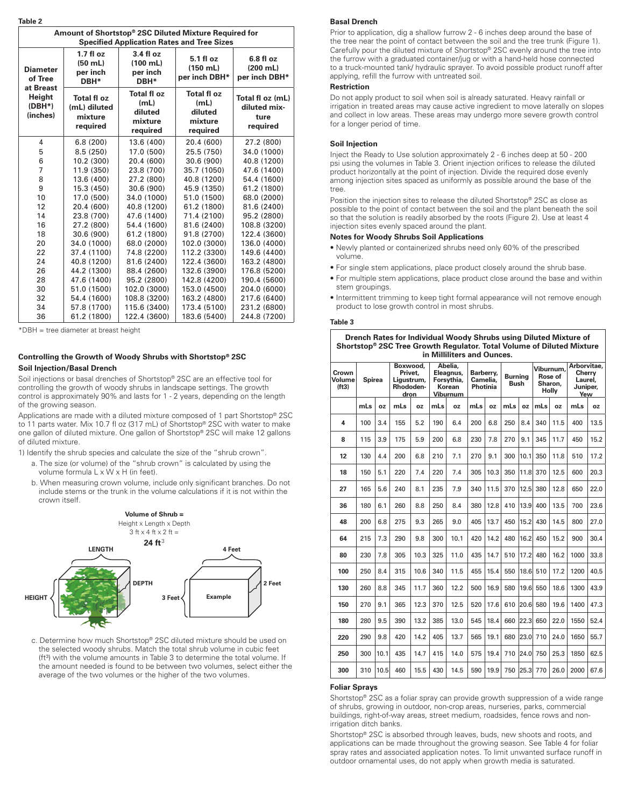| <br>× | ۰, | ×<br>۰. |  |
|-------|----|---------|--|

| rapie z                                                                                                    |                                                                                            |                                                              |                                                             |                                                      |  |  |  |  |
|------------------------------------------------------------------------------------------------------------|--------------------------------------------------------------------------------------------|--------------------------------------------------------------|-------------------------------------------------------------|------------------------------------------------------|--|--|--|--|
| Amount of Shortstop® 2SC Diluted Mixture Required for<br><b>Specified Application Rates and Tree Sizes</b> |                                                                                            |                                                              |                                                             |                                                      |  |  |  |  |
| <b>Diameter</b><br>of Tree                                                                                 | 3.4 f1 oz<br>$1.7 f$ l oz<br>$(50$ mL)<br>(100 mL)<br>per inch<br>per inch<br>DBH*<br>DBH* |                                                              | 5.1 fl oz<br>$(150$ mL)<br>per inch DBH*                    | $6.8f$ loz<br>$(200$ mL)<br>per inch DBH*            |  |  |  |  |
| at Breast<br>Height<br>$(DBH*)$<br>(inches)                                                                | <b>Total fl oz</b><br>(mL) diluted<br>mixture<br>required                                  | <b>Total fl oz</b><br>(mL)<br>diluted<br>mixture<br>required | <b>Total floz</b><br>(mL)<br>diluted<br>mixture<br>required | Total fl oz (mL)<br>diluted mix-<br>ture<br>required |  |  |  |  |
| 4                                                                                                          | 6.8(200)                                                                                   | 13.6 (400)                                                   | 20.4 (600)                                                  | 27.2 (800)                                           |  |  |  |  |
| 5                                                                                                          | 8.5(250)                                                                                   | 17.0 (500)                                                   | 25.5 (750)                                                  | 34.0 (1000)                                          |  |  |  |  |
| 6<br>10.2 (300)<br>$\overline{7}$<br>11.9 (350)<br>8<br>13.6 (400)<br>9<br>15.3 (450)                      |                                                                                            | 20.4 (600)                                                   | 30.6 (900)                                                  | 40.8 (1200)                                          |  |  |  |  |
|                                                                                                            |                                                                                            | 23.8 (700)                                                   | 35.7 (1050)                                                 | 47.6 (1400)                                          |  |  |  |  |
|                                                                                                            |                                                                                            | 27.2 (800)                                                   | 40.8 (1200)                                                 | 54.4 (1600)                                          |  |  |  |  |
|                                                                                                            |                                                                                            | 30.6 (900)                                                   | 45.9 (1350)                                                 | 61.2 (1800)                                          |  |  |  |  |
| 10                                                                                                         | 17.0 (500)                                                                                 | 34.0 (1000)                                                  | 51.0 (1500)                                                 | 68.0 (2000)                                          |  |  |  |  |
| 12                                                                                                         | 20.4 (600)                                                                                 | 40.8 (1200)                                                  | 61.2 (1800)                                                 | 81.6 (2400)                                          |  |  |  |  |
| 14                                                                                                         | 23.8 (700)                                                                                 | 47.6 (1400)                                                  | 71.4 (2100)                                                 | 95.2 (2800)                                          |  |  |  |  |
| 16                                                                                                         | 27.2 (800)                                                                                 | 54.4 (1600)                                                  | 81.6 (2400)                                                 | 108.8 (3200)                                         |  |  |  |  |
| 18                                                                                                         | 30.6 (900)                                                                                 | 61.2 (1800)                                                  | 91.8 (2700)                                                 | 122.4 (3600)                                         |  |  |  |  |
| 20                                                                                                         | 34.0 (1000)                                                                                | 68.0 (2000)                                                  | 102.0 (3000)                                                | 136.0 (4000)                                         |  |  |  |  |
| 22                                                                                                         | 37.4 (1100)                                                                                |                                                              | 112.2 (3300)                                                | 149.6 (4400)                                         |  |  |  |  |
| 24                                                                                                         | 40.8 (1200)                                                                                | 81.6 (2400)                                                  | 122.4 (3600)                                                | 163.2 (4800)                                         |  |  |  |  |
| 26                                                                                                         | 44.2 (1300)                                                                                | 88.4 (2600)                                                  | 132.6 (3900)                                                | 176.8 (5200)                                         |  |  |  |  |
| 28                                                                                                         | 47.6 (1400)                                                                                | 95.2 (2800)                                                  | 142.8 (4200)                                                | 190.4 (5600)                                         |  |  |  |  |
| 30                                                                                                         | 51.0 (1500)                                                                                | 102.0 (3000)                                                 | 153.0 (4500)                                                | 204.0 (6000)                                         |  |  |  |  |
| 32                                                                                                         | 54.4 (1600)                                                                                | 108.8 (3200)                                                 | 163.2 (4800)                                                | 217.6 (6400)                                         |  |  |  |  |
| 34                                                                                                         | 57.8 (1700)                                                                                | 115.6 (3400)                                                 | 173.4 (5100)                                                | 231.2 (6800)                                         |  |  |  |  |
| 36                                                                                                         | 61.2 (1800)                                                                                | 122.4 (3600)                                                 | 183.6 (5400)                                                | 244.8 (7200)                                         |  |  |  |  |

\*DBH = tree diameter at breast height

#### **Controlling the Growth of Woody Shrubs with Shortstop® 2SC Soil Injection/Basal Drench**

Soil injections or basal drenches of Shortstop® 2SC are an effective tool for controlling the growth of woody shrubs in landscape settings. The growth control is approximately 90% and lasts for 1 - 2 years, depending on the length of the growing season.

Applications are made with a diluted mixture composed of 1 part Shortstop® 2SC **Controlling the Growth of Woody Shrubs with Shortstop**® **2SC** to 11 parts water. Mix 10.7 fl oz (317 mL) of Shortstop® 2SC with water to make one gallon of diluted mixture. One gallon of Shortstop® 2SC will make 12 gallons<br>of diluted mixture of diluted mixture.

or anated mixture.<br>1) Identify the shrub species and calculate the size of the "shrub crown". ) identity the shrub species and calculate the size of the "shrub crown".

- a. The size (or volume) of the "shrub crown" is calculated by using the  $\alpha$  and one gallon column  $\alpha$  called mixture. One can be considered mixture.  $\alpha$  is different with  $\alpha$  in  $\alpha$  and  $\alpha$  is different mixture.
- b. When measuring crown volume, include only significant branches. Do not include stems or the trunk in the volume calculations if it is not within the crown itself. When measuring crown itself.



c. Determine how much Shortstop® 2SC diluted mixture should be used on the selected woody shrubs. Match the total shrub volume in cubic feet (ft<sup>3</sup>) with the volume amounts in Table 3 to determine the total volume. If the amount needed is found to be between two volumes, select either the average of the two volumes or the higher of the two volumes.

#### **Basal Drench**

Prior to application, dig a shallow furrow 2 - 6 inches deep around the base of the tree near the point of contact between the soil and the tree trunk (Figure 1). Carefully pour the diluted mixture of Shortstop® 2SC evenly around the tree into the furrow with a graduated container/jug or with a hand-held hose connected to a truck-mounted tank/ hydraulic sprayer. To avoid possible product runoff after applying, refill the furrow with untreated soil.

#### **Restriction**

Do not apply product to soil when soil is already saturated. Heavy rainfall or irrigation in treated areas may cause active ingredient to move laterally on slopes and collect in low areas. These areas may undergo more severe growth control for a longer period of time.

#### **Soil Injection**

Inject the Ready to Use solution approximately 2 - 6 inches deep at 50 - 200 psi using the volumes in Table 3. Orient injection orifices to release the diluted product horizontally at the point of injection. Divide the required dose evenly among injection sites spaced as uniformly as possible around the base of the tree.

Position the injection sites to release the diluted Shortstop® 2SC as close as possible to the point of contact between the soil and the plant beneath the soil so that the solution is readily absorbed by the roots (Figure 2). Use at least 4 injection sites evenly spaced around the plant.

#### **Notes for Woody Shrubs Soil Applications**

- Newly planted or containerized shrubs need only 60% of the prescribed volume.
- For single stem applications, place product closely around the shrub base.
- For multiple stem applications, place product close around the base and within stem groupings.
- Intermittent trimming to keep tight formal appearance will not remove enough product to lose growth control in most shrubs.

#### **Table 3**

**Drench Rates for Individual Woody Shrubs using Diluted Mixture of Shortstop® 2SC Tree Growth Regulator. Total Volume of Diluted Mixture in Milliliters and Ounce** 

| Crown<br>Volume<br>(ft3) | <b>Spirea</b> |           | Boxwood,<br>Privet,<br>Ligustrum,<br>Rhododen-<br>dron |           |     | Abelia.<br>Eleagnus,<br>Forsythia,<br>Korean<br><b>Viburnum</b> |     | Barberry,<br>Camelia.<br>Photinia | <b>Burning</b><br><b>Bush</b> |           |              | Viburnum,<br>Rose of<br>Sharon,<br><b>Holly</b> | Arborvitae.<br>Cherry<br>Laurel.<br>Juniper,<br>Yew |           |
|--------------------------|---------------|-----------|--------------------------------------------------------|-----------|-----|-----------------------------------------------------------------|-----|-----------------------------------|-------------------------------|-----------|--------------|-------------------------------------------------|-----------------------------------------------------|-----------|
|                          | mLs           | <b>OZ</b> | mLs                                                    | <b>OZ</b> | mLs | <b>OZ</b>                                                       | mLs | <b>OZ</b>                         | mLs                           | <b>OZ</b> | mLs          | <b>OZ</b>                                       | mLs                                                 | <b>OZ</b> |
| 4                        | 100           | 3.4       | 155                                                    | 5.2       | 190 | 6.4                                                             | 200 | 6.8                               | 250                           | 8.4       | 340          | 11.5                                            | 400                                                 | 13.5      |
| 8                        | 115           | 3.9       | 175                                                    | 5.9       | 200 | 6.8                                                             | 230 | 7.8                               | 270                           | 9.1       | 345          | 11.7                                            | 450                                                 | 15.2      |
| 12                       | 130           | 4.4       | 200                                                    | 6.8       | 210 | 7.1                                                             | 270 | 9.1                               | 300                           | 10.1      | 350          | 11.8                                            | 510                                                 | 17.2      |
| 18                       | 150           | 5.1       | 220                                                    | 7.4       | 220 | 7.4                                                             | 305 | 10.3                              | 350                           | 11.8      | 370          | 12.5                                            | 600                                                 | 20.3      |
| 27                       | 165           | 5.6       | 240                                                    | 8.1       | 235 | 7.9                                                             | 340 | 11.5                              | 370                           | 12.5      | 380          | 12.8                                            | 650                                                 | 22.0      |
| 36                       | 180           | 6.1       | 260                                                    | 8.8       | 250 | 8.4                                                             | 380 | 12.8                              | 410                           | 13.9      | 400          | 13.5                                            | 700                                                 | 23.6      |
| 48                       | 200           | 6.8       | 275                                                    | 9.3       | 265 | 9.0                                                             | 405 | 13.7                              | 450                           | 15.2      | 430          | 14.5                                            | 800                                                 | 27.0      |
| 64                       | 215           | 7.3       | 290                                                    | 9.8       | 300 | 10.1                                                            | 420 | 14.2                              | 480                           | 16.2      | 450          | 15.2                                            | 900                                                 | 30.4      |
| 80                       | 230           | 7.8       | 305                                                    | 10.3      | 325 | 11.0                                                            | 435 | 14.7                              | 510                           | 17.2      | 480          | 16.2                                            | 1000                                                | 33.8      |
| 100                      | 250           | 8.4       | 315                                                    | 10.6      | 340 | 11.5                                                            | 455 | 15.4                              | 550                           | 18.6      | 510          | 17.2                                            | 1200                                                | 40.5      |
| 130                      | 260           | 8.8       | 345                                                    | 11.7      | 360 | 12.2                                                            | 500 | 16.9                              | 580                           | 19.6      | 550          | 18.6                                            | 1300                                                | 43.9      |
| 150                      | 270           | 9.1       | 365                                                    | 12.3      | 370 | 12.5                                                            | 520 | 17.6                              | 610                           | 20.6      | 580          | 19.6                                            | 1400                                                | 47.3      |
| 180                      | 280           | 9.5       | 390                                                    | 13.2      | 385 | 13.0                                                            | 545 | 18.4                              | 660                           | 22.3      | 650          | 22.0                                            | 1550                                                | 52.4      |
| 220                      | 290           | 9.8       | 420                                                    | 14.2      | 405 | 13.7                                                            | 565 | 19.1                              | 680                           | 23.0      | 710          | 24.0                                            | 1650                                                | 55.7      |
| 250                      | 300           | 10.1      | 435                                                    | 14.7      | 415 | 14.0                                                            | 575 | 19.4                              | 710                           | 24.0      | 750          | 25.3                                            | 1850                                                | 62.5      |
| 300                      | 310           | 10.5      | 460                                                    | 15.5      | 430 | 14.5                                                            | 590 | 19.9                              |                               |           | 750 25.3 770 | 26.0                                            | 2000                                                | 67.6      |

#### **Foliar Sprays**

Shortstop® 2SC as a foliar spray can provide growth suppression of a wide range of shrubs, growing in outdoor, non-crop areas, nurseries, parks, commercial buildings, right-of-way areas, street medium, roadsides, fence rows and nonirrigation ditch banks.

Shortstop® 2SC is absorbed through leaves, buds, new shoots and roots, and applications can be made throughout the growing season. See Table 4 for foliar spray rates and associated application notes. To limit unwanted surface runoff in outdoor ornamental uses, do not apply when growth media is saturated.